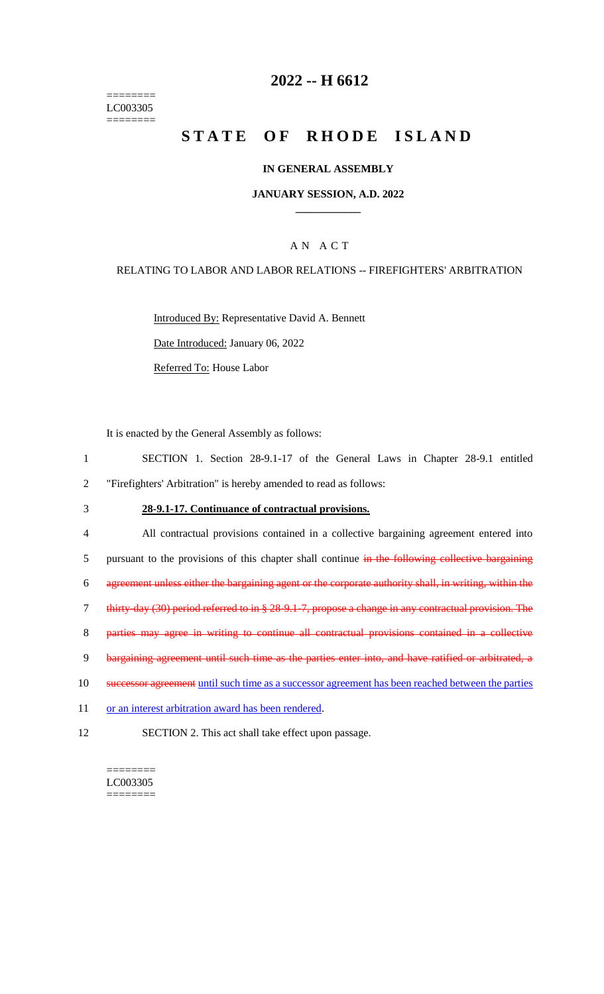======== LC003305 ========

## **2022 -- H 6612**

# **STATE OF RHODE ISLAND**

#### **IN GENERAL ASSEMBLY**

#### **JANUARY SESSION, A.D. 2022 \_\_\_\_\_\_\_\_\_\_\_\_**

### A N A C T

#### RELATING TO LABOR AND LABOR RELATIONS -- FIREFIGHTERS' ARBITRATION

Introduced By: Representative David A. Bennett

Date Introduced: January 06, 2022

Referred To: House Labor

It is enacted by the General Assembly as follows:

- 1 SECTION 1. Section 28-9.1-17 of the General Laws in Chapter 28-9.1 entitled 2 "Firefighters' Arbitration" is hereby amended to read as follows:
- 3 **28-9.1-17. Continuance of contractual provisions.**
- 4 All contractual provisions contained in a collective bargaining agreement entered into 5 pursuant to the provisions of this chapter shall continue in the following collective bargaining 6 agreement unless either the bargaining agent or the corporate authority shall, in writing, within the 7 thirty-day (30) period referred to in § 28-9.1-7, propose a change in any contractual provision. The 8 parties may agree in writing to continue all contractual provisions contained in a collective 9 bargaining agreement until such time as the parties enter into, and have ratified or arbitrated, a 10 successor agreement until such time as a successor agreement has been reached between the parties 11 or an interest arbitration award has been rendered. 12 SECTION 2. This act shall take effect upon passage.

LC003305 ========

 $=$